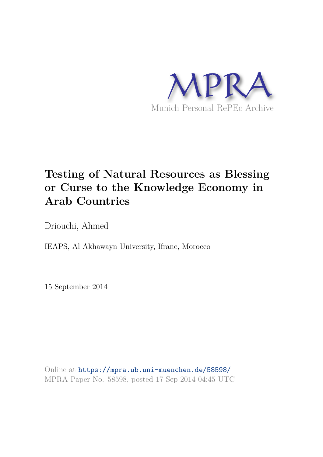

# **Testing of Natural Resources as Blessing or Curse to the Knowledge Economy in Arab Countries**

Driouchi, Ahmed

IEAPS, Al Akhawayn University, Ifrane, Morocco

15 September 2014

Online at https://mpra.ub.uni-muenchen.de/58598/ MPRA Paper No. 58598, posted 17 Sep 2014 04:45 UTC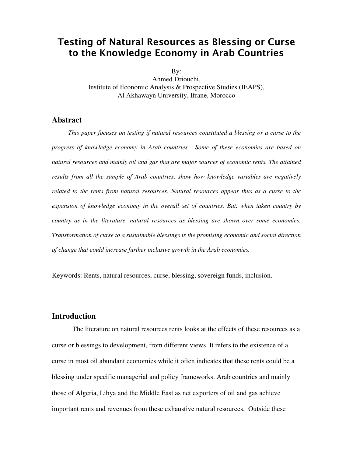# **Testing of Natural Resources as Blessing or Curse to the Knowledge Economy in Arab Countries**

By:

Ahmed Driouchi, Institute of Economic Analysis & Prospective Studies (IEAPS), Al Akhawayn University, Ifrane, Morocco

#### **Abstract**

 *This paper focuses on testing if natural resources constituted a blessing or a curse to the progress of knowledge economy in Arab countries. Some of these economies are based on*  natural resources and mainly oil and gas that are major sources of economic rents. The attained *results from all the sample of Arab countries, show how knowledge variables are negatively related to the rents from natural resources. Natural resources appear thus as a curse to the expansion of knowledge economy in the overall set of countries. But, when taken country by country as in the literature, natural resources as blessing are shown over some economies. Transformation of curse to a sustainable blessings is the promising economic and social direction of change that could increase further inclusive growth in the Arab economies.* 

Keywords: Rents, natural resources, curse, blessing, sovereign funds, inclusion.

## **Introduction**

The literature on natural resources rents looks at the effects of these resources as a curse or blessings to development, from different views. It refers to the existence of a curse in most oil abundant economies while it often indicates that these rents could be a blessing under specific managerial and policy frameworks. Arab countries and mainly those of Algeria, Libya and the Middle East as net exporters of oil and gas achieve important rents and revenues from these exhaustive natural resources. Outside these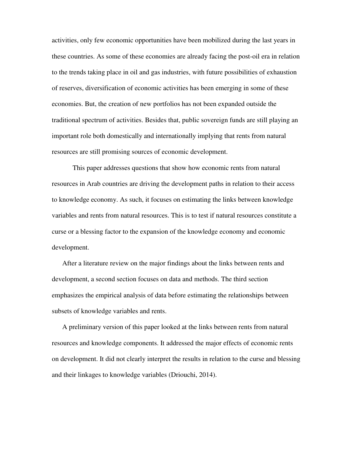activities, only few economic opportunities have been mobilized during the last years in these countries. As some of these economies are already facing the post-oil era in relation to the trends taking place in oil and gas industries, with future possibilities of exhaustion of reserves, diversification of economic activities has been emerging in some of these economies. But, the creation of new portfolios has not been expanded outside the traditional spectrum of activities. Besides that, public sovereign funds are still playing an important role both domestically and internationally implying that rents from natural resources are still promising sources of economic development.

This paper addresses questions that show how economic rents from natural resources in Arab countries are driving the development paths in relation to their access to knowledge economy. As such, it focuses on estimating the links between knowledge variables and rents from natural resources. This is to test if natural resources constitute a curse or a blessing factor to the expansion of the knowledge economy and economic development.

After a literature review on the major findings about the links between rents and development, a second section focuses on data and methods. The third section emphasizes the empirical analysis of data before estimating the relationships between subsets of knowledge variables and rents.

A preliminary version of this paper looked at the links between rents from natural resources and knowledge components. It addressed the major effects of economic rents on development. It did not clearly interpret the results in relation to the curse and blessing and their linkages to knowledge variables (Driouchi, 2014).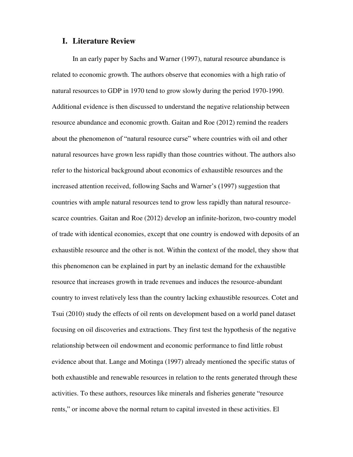#### **I. Literature Review**

In an early paper by Sachs and Warner (1997), natural resource abundance is related to economic growth. The authors observe that economies with a high ratio of natural resources to GDP in 1970 tend to grow slowly during the period 1970-1990. Additional evidence is then discussed to understand the negative relationship between resource abundance and economic growth. Gaitan and Roe (2012) remind the readers about the phenomenon of "natural resource curse" where countries with oil and other natural resources have grown less rapidly than those countries without. The authors also refer to the historical background about economics of exhaustible resources and the increased attention received, following Sachs and Warner's (1997) suggestion that countries with ample natural resources tend to grow less rapidly than natural resourcescarce countries. Gaitan and Roe (2012) develop an infinite-horizon, two-country model of trade with identical economies, except that one country is endowed with deposits of an exhaustible resource and the other is not. Within the context of the model, they show that this phenomenon can be explained in part by an inelastic demand for the exhaustible resource that increases growth in trade revenues and induces the resource-abundant country to invest relatively less than the country lacking exhaustible resources. Cotet and Tsui (2010) study the effects of oil rents on development based on a world panel dataset focusing on oil discoveries and extractions. They first test the hypothesis of the negative relationship between oil endowment and economic performance to find little robust evidence about that. Lange and Motinga (1997) already mentioned the specific status of both exhaustible and renewable resources in relation to the rents generated through these activities. To these authors, resources like minerals and fisheries generate "resource rents," or income above the normal return to capital invested in these activities. El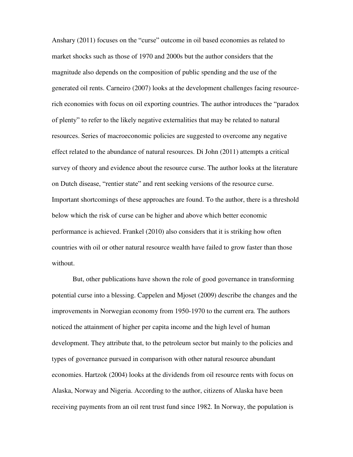Anshary (2011) focuses on the "curse" outcome in oil based economies as related to market shocks such as those of 1970 and 2000s but the author considers that the magnitude also depends on the composition of public spending and the use of the generated oil rents. Carneiro (2007) looks at the development challenges facing resourcerich economies with focus on oil exporting countries. The author introduces the "paradox of plenty" to refer to the likely negative externalities that may be related to natural resources. Series of macroeconomic policies are suggested to overcome any negative effect related to the abundance of natural resources. Di John (2011) attempts a critical survey of theory and evidence about the resource curse. The author looks at the literature on Dutch disease, "rentier state" and rent seeking versions of the resource curse. Important shortcomings of these approaches are found. To the author, there is a threshold below which the risk of curse can be higher and above which better economic performance is achieved. Frankel (2010) also considers that it is striking how often countries with oil or other natural resource wealth have failed to grow faster than those without.

But, other publications have shown the role of good governance in transforming potential curse into a blessing. Cappelen and Mjoset (2009) describe the changes and the improvements in Norwegian economy from 1950-1970 to the current era. The authors noticed the attainment of higher per capita income and the high level of human development. They attribute that, to the petroleum sector but mainly to the policies and types of governance pursued in comparison with other natural resource abundant economies. Hartzok (2004) looks at the dividends from oil resource rents with focus on Alaska, Norway and Nigeria. According to the author, citizens of Alaska have been receiving payments from an oil rent trust fund since 1982. In Norway, the population is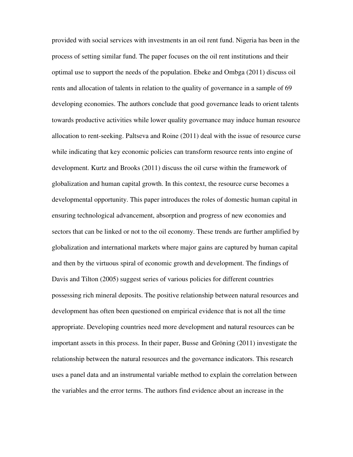provided with social services with investments in an oil rent fund. Nigeria has been in the process of setting similar fund. The paper focuses on the oil rent institutions and their optimal use to support the needs of the population. Ebeke and Ombga (2011) discuss oil rents and allocation of talents in relation to the quality of governance in a sample of 69 developing economies. The authors conclude that good governance leads to orient talents towards productive activities while lower quality governance may induce human resource allocation to rent-seeking. Paltseva and Roine (2011) deal with the issue of resource curse while indicating that key economic policies can transform resource rents into engine of development. Kurtz and Brooks (2011) discuss the oil curse within the framework of globalization and human capital growth. In this context, the resource curse becomes a developmental opportunity. This paper introduces the roles of domestic human capital in ensuring technological advancement, absorption and progress of new economies and sectors that can be linked or not to the oil economy. These trends are further amplified by globalization and international markets where major gains are captured by human capital and then by the virtuous spiral of economic growth and development. The findings of Davis and Tilton (2005) suggest series of various policies for different countries possessing rich mineral deposits. The positive relationship between natural resources and development has often been questioned on empirical evidence that is not all the time appropriate. Developing countries need more development and natural resources can be important assets in this process. In their paper, Busse and Gröning (2011) investigate the relationship between the natural resources and the governance indicators. This research uses a panel data and an instrumental variable method to explain the correlation between the variables and the error terms. The authors find evidence about an increase in the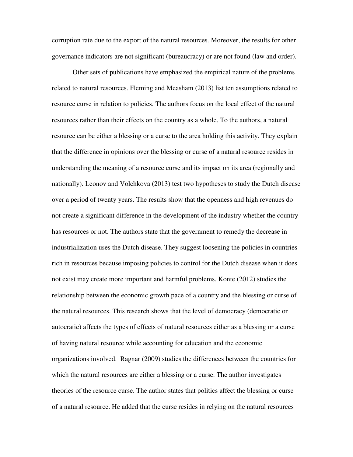corruption rate due to the export of the natural resources. Moreover, the results for other governance indicators are not significant (bureaucracy) or are not found (law and order).

Other sets of publications have emphasized the empirical nature of the problems related to natural resources. Fleming and Measham (2013) list ten assumptions related to resource curse in relation to policies. The authors focus on the local effect of the natural resources rather than their effects on the country as a whole. To the authors, a natural resource can be either a blessing or a curse to the area holding this activity. They explain that the difference in opinions over the blessing or curse of a natural resource resides in understanding the meaning of a resource curse and its impact on its area (regionally and nationally). Leonov and Volchkova (2013) test two hypotheses to study the Dutch disease over a period of twenty years. The results show that the openness and high revenues do not create a significant difference in the development of the industry whether the country has resources or not. The authors state that the government to remedy the decrease in industrialization uses the Dutch disease. They suggest loosening the policies in countries rich in resources because imposing policies to control for the Dutch disease when it does not exist may create more important and harmful problems. Konte (2012) studies the relationship between the economic growth pace of a country and the blessing or curse of the natural resources. This research shows that the level of democracy (democratic or autocratic) affects the types of effects of natural resources either as a blessing or a curse of having natural resource while accounting for education and the economic organizations involved. Ragnar (2009) studies the differences between the countries for which the natural resources are either a blessing or a curse. The author investigates theories of the resource curse. The author states that politics affect the blessing or curse of a natural resource. He added that the curse resides in relying on the natural resources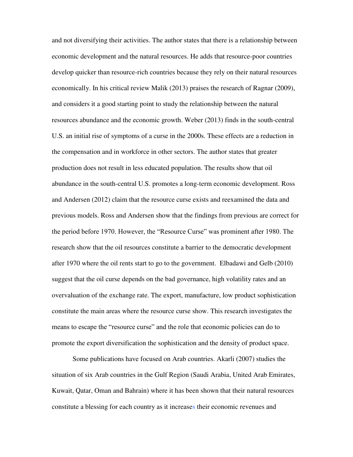and not diversifying their activities. The author states that there is a relationship between economic development and the natural resources. He adds that resource-poor countries develop quicker than resource-rich countries because they rely on their natural resources economically. In his critical review Malik (2013) praises the research of Ragnar (2009), and considers it a good starting point to study the relationship between the natural resources abundance and the economic growth. Weber (2013) finds in the south-central U.S. an initial rise of symptoms of a curse in the 2000s. These effects are a reduction in the compensation and in workforce in other sectors. The author states that greater production does not result in less educated population. The results show that oil abundance in the south-central U.S. promotes a long-term economic development. Ross and Andersen (2012) claim that the resource curse exists and reexamined the data and previous models. Ross and Andersen show that the findings from previous are correct for the period before 1970. However, the "Resource Curse" was prominent after 1980. The research show that the oil resources constitute a barrier to the democratic development after 1970 where the oil rents start to go to the government. Elbadawi and Gelb (2010) suggest that the oil curse depends on the bad governance, high volatility rates and an overvaluation of the exchange rate. The export, manufacture, low product sophistication constitute the main areas where the resource curse show. This research investigates the means to escape the "resource curse" and the role that economic policies can do to promote the export diversification the sophistication and the density of product space.

Some publications have focused on Arab countries. Akarli (2007) studies the situation of six Arab countries in the Gulf Region (Saudi Arabia, United Arab Emirates, Kuwait, Qatar, Oman and Bahrain) where it has been shown that their natural resources constitute a blessing for each country as it increases their economic revenues and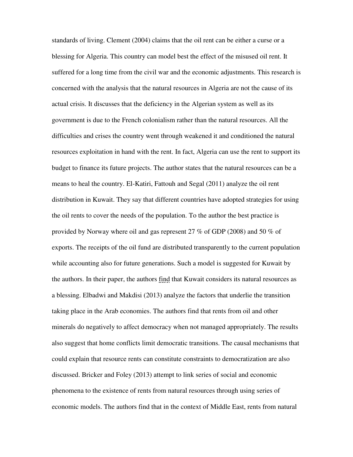standards of living. Clement (2004) claims that the oil rent can be either a curse or a blessing for Algeria. This country can model best the effect of the misused oil rent. It suffered for a long time from the civil war and the economic adjustments. This research is concerned with the analysis that the natural resources in Algeria are not the cause of its actual crisis. It discusses that the deficiency in the Algerian system as well as its government is due to the French colonialism rather than the natural resources. All the difficulties and crises the country went through weakened it and conditioned the natural resources exploitation in hand with the rent. In fact, Algeria can use the rent to support its budget to finance its future projects. The author states that the natural resources can be a means to heal the country. El-Katiri, Fattouh and Segal (2011) analyze the oil rent distribution in Kuwait. They say that different countries have adopted strategies for using the oil rents to cover the needs of the population. To the author the best practice is provided by Norway where oil and gas represent 27 % of GDP (2008) and 50 % of exports. The receipts of the oil fund are distributed transparently to the current population while accounting also for future generations. Such a model is suggested for Kuwait by the authors. In their paper, the authors find that Kuwait considers its natural resources as a blessing. Elbadwi and Makdisi (2013) analyze the factors that underlie the transition taking place in the Arab economies. The authors find that rents from oil and other minerals do negatively to affect democracy when not managed appropriately. The results also suggest that home conflicts limit democratic transitions. The causal mechanisms that could explain that resource rents can constitute constraints to democratization are also discussed. Bricker and Foley (2013) attempt to link series of social and economic phenomena to the existence of rents from natural resources through using series of economic models. The authors find that in the context of Middle East, rents from natural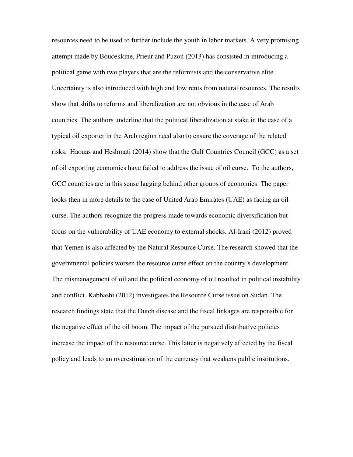resources need to be used to further include the youth in labor markets. A very promising attempt made by Boucekkine, Prieur and Puzon (2013) has consisted in introducing a political game with two players that are the reformists and the conservative elite. Uncertainty is also introduced with high and low rents from natural resources. The results show that shifts to reforms and liberalization are not obvious in the case of Arab countries. The authors underline that the political liberalization at stake in the case of a typical oil exporter in the Arab region need also to ensure the coverage of the related risks. Haouas and Heshmati (2014) show that the Gulf Countries Council (GCC) as a set of oil exporting economies have failed to address the issue of oil curse. To the authors, GCC countries are in this sense lagging behind other groups of economies. The paper looks then in more details to the case of United Arab Emirates (UAE) as facing an oil curse. The authors recognize the progress made towards economic diversification but focus on the vulnerability of UAE economy to external shocks. Al-Irani (2012) proved that Yemen is also affected by the Natural Resource Curse. The research showed that the governmental policies worsen the resource curse effect on the country's development. The mismanagement of oil and the political economy of oil resulted in political instability and conflict. Kabbashi (2012) investigates the Resource Curse issue on Sudan. The research findings state that the Dutch disease and the fiscal linkages are responsible for the negative effect of the oil boom. The impact of the pursued distributive policies increase the impact of the resource curse. This latter is negatively affected by the fiscal policy and leads to an overestimation of the currency that weakens public institutions.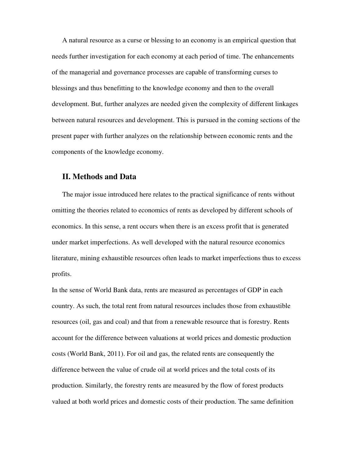A natural resource as a curse or blessing to an economy is an empirical question that needs further investigation for each economy at each period of time. The enhancements of the managerial and governance processes are capable of transforming curses to blessings and thus benefitting to the knowledge economy and then to the overall development. But, further analyzes are needed given the complexity of different linkages between natural resources and development. This is pursued in the coming sections of the present paper with further analyzes on the relationship between economic rents and the components of the knowledge economy.

## **II. Methods and Data**

The major issue introduced here relates to the practical significance of rents without omitting the theories related to economics of rents as developed by different schools of economics. In this sense, a rent occurs when there is an excess profit that is generated under market imperfections. As well developed with the natural resource economics literature, mining exhaustible resources often leads to market imperfections thus to excess profits.

In the sense of World Bank data, rents are measured as percentages of GDP in each country. As such, the total rent from natural resources includes those from exhaustible resources (oil, gas and coal) and that from a renewable resource that is forestry. Rents account for the difference between valuations at world prices and domestic production costs (World Bank, 2011). For oil and gas, the related rents are consequently the difference between the value of crude oil at world prices and the total costs of its production. Similarly, the forestry rents are measured by the flow of forest products valued at both world prices and domestic costs of their production. The same definition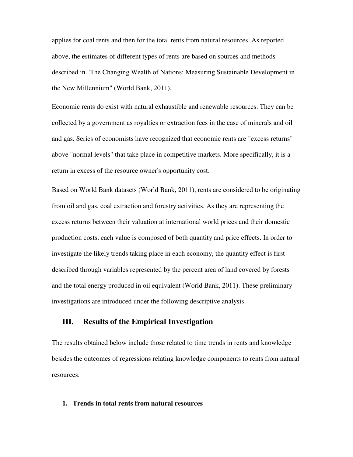applies for coal rents and then for the total rents from natural resources. As reported above, the estimates of different types of rents are based on sources and methods described in "The Changing Wealth of Nations: Measuring Sustainable Development in the New Millennium" (World Bank, 2011).

Economic rents do exist with natural exhaustible and renewable resources. They can be collected by a government as royalties or extraction fees in the case of minerals and oil and gas. Series of economists have recognized that economic rents are "excess returns" above "normal levels" that take place in competitive markets. More specifically, it is a return in excess of the resource owner's opportunity cost.

Based on World Bank datasets (World Bank, 2011), rents are considered to be originating from oil and gas, coal extraction and forestry activities. As they are representing the excess returns between their valuation at international world prices and their domestic production costs, each value is composed of both quantity and price effects. In order to investigate the likely trends taking place in each economy, the quantity effect is first described through variables represented by the percent area of land covered by forests and the total energy produced in oil equivalent (World Bank, 2011). These preliminary investigations are introduced under the following descriptive analysis.

# **III. Results of the Empirical Investigation**

The results obtained below include those related to time trends in rents and knowledge besides the outcomes of regressions relating knowledge components to rents from natural resources.

#### **1. Trends in total rents from natural resources**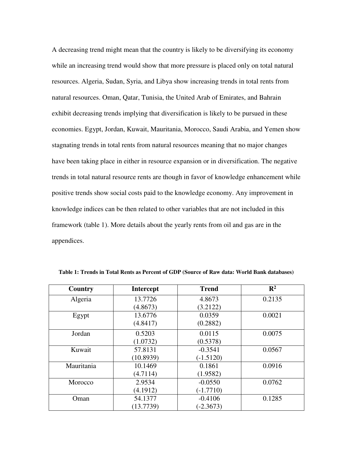A decreasing trend might mean that the country is likely to be diversifying its economy while an increasing trend would show that more pressure is placed only on total natural resources. Algeria, Sudan, Syria, and Libya show increasing trends in total rents from natural resources. Oman, Qatar, Tunisia, the United Arab of Emirates, and Bahrain exhibit decreasing trends implying that diversification is likely to be pursued in these economies. Egypt, Jordan, Kuwait, Mauritania, Morocco, Saudi Arabia, and Yemen show stagnating trends in total rents from natural resources meaning that no major changes have been taking place in either in resource expansion or in diversification. The negative trends in total natural resource rents are though in favor of knowledge enhancement while positive trends show social costs paid to the knowledge economy. Any improvement in knowledge indices can be then related to other variables that are not included in this framework (table 1). More details about the yearly rents from oil and gas are in the appendices.

| Country    | <b>Intercept</b> | <b>Trend</b> | $\mathbf{R}^2$ |
|------------|------------------|--------------|----------------|
| Algeria    | 13.7726          | 4.8673       | 0.2135         |
|            | (4.8673)         | (3.2122)     |                |
| Egypt      | 13.6776          | 0.0359       | 0.0021         |
|            | (4.8417)         | (0.2882)     |                |
| Jordan     | 0.5203           | 0.0115       | 0.0075         |
|            | (1.0732)         | (0.5378)     |                |
| Kuwait     | 57.8131          | $-0.3541$    | 0.0567         |
|            | (10.8939)        | $(-1.5120)$  |                |
| Mauritania | 10.1469          | 0.1861       | 0.0916         |
|            | (4.7114)         | (1.9582)     |                |
| Morocco    | 2.9534           | $-0.0550$    | 0.0762         |
|            | (4.1912)         | $(-1.7710)$  |                |
| Oman       | 54.1377          | $-0.4106$    | 0.1285         |
|            | (13.7739)        | $(-2.3673)$  |                |

**Table 1: Trends in Total Rents as Percent of GDP (Source of Raw data: World Bank databases)**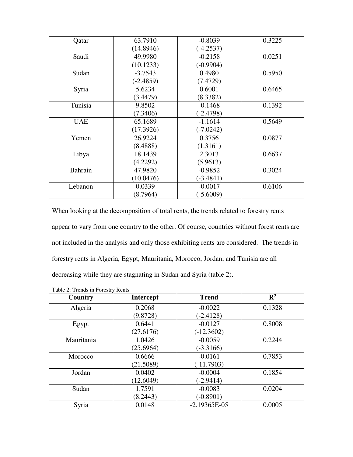| Qatar      | 63.7910     | $-0.8039$   | 0.3225 |
|------------|-------------|-------------|--------|
|            | (14.8946)   | $(-4.2537)$ |        |
| Saudi      | 49.9980     | $-0.2158$   | 0.0251 |
|            | (10.1233)   | $(-0.9904)$ |        |
| Sudan      | $-3.7543$   | 0.4980      | 0.5950 |
|            | $(-2.4859)$ | (7.4729)    |        |
| Syria      | 5.6234      | 0.6001      | 0.6465 |
|            | (3.4479)    | (8.3382)    |        |
| Tunisia    | 9.8502      | $-0.1468$   | 0.1392 |
|            | (7.3406)    | $(-2.4798)$ |        |
| <b>UAE</b> | 65.1689     | $-1.1614$   | 0.5649 |
|            | (17.3926)   | $(-7.0242)$ |        |
| Yemen      | 26.9224     | 0.3756      | 0.0877 |
|            | (8.4888)    | (1.3161)    |        |
| Libya      | 18.1439     | 2.3013      | 0.6637 |
|            | (4.2292)    | (5.9613)    |        |
| Bahrain    | 47.9820     | $-0.9852$   | 0.3024 |
|            | (10.0476)   | $(-3.4841)$ |        |
| Lebanon    | 0.0339      | $-0.0017$   | 0.6106 |
|            | (8.7964)    | $(-5.6009)$ |        |

When looking at the decomposition of total rents, the trends related to forestry rents appear to vary from one country to the other. Of course, countries without forest rents are not included in the analysis and only those exhibiting rents are considered. The trends in forestry rents in Algeria, Egypt, Mauritania, Morocco, Jordan, and Tunisia are all decreasing while they are stagnating in Sudan and Syria (table 2).

| Country    | <b>Intercept</b> | <b>Trend</b>   | $\mathbb{R}^2$ |
|------------|------------------|----------------|----------------|
| Algeria    | 0.2068           | $-0.0022$      | 0.1328         |
|            | (9.8728)         | $(-2.4128)$    |                |
| Egypt      | 0.6441           | $-0.0127$      | 0.8008         |
|            | (27.6176)        | $(-12.3602)$   |                |
| Mauritania | 1.0426           | $-0.0059$      | 0.2244         |
|            | (25.6964)        | $(-3.3166)$    |                |
| Morocco    | 0.6666           | $-0.0161$      | 0.7853         |
|            | (21.5089)        | $(-11.7903)$   |                |
| Jordan     | 0.0402           | $-0.0004$      | 0.1854         |
|            | (12.6049)        | $(-2.9414)$    |                |
| Sudan      | 1.7591           | $-0.0083$      | 0.0204         |
|            | (8.2443)         | $(-0.8901)$    |                |
| Syria      | 0.0148           | $-2.19365E-05$ | 0.0005         |

| Table 2: Trends in Forestry Rents |
|-----------------------------------|
|-----------------------------------|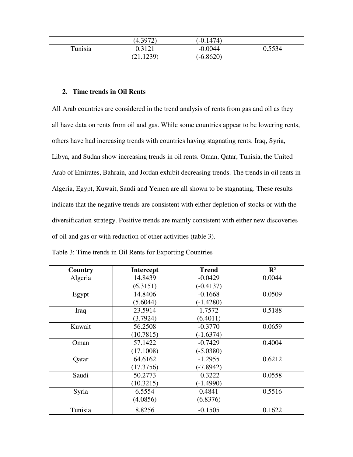|         | (4.3972) | (-0.1474`   |        |
|---------|----------|-------------|--------|
| Tunisia | 0.3121   | -0.0044     | 0.5534 |
|         | 21.1239  | $(-6.8620)$ |        |

#### **2. Time trends in Oil Rents**

All Arab countries are considered in the trend analysis of rents from gas and oil as they all have data on rents from oil and gas. While some countries appear to be lowering rents, others have had increasing trends with countries having stagnating rents. Iraq, Syria, Libya, and Sudan show increasing trends in oil rents. Oman, Qatar, Tunisia, the United Arab of Emirates, Bahrain, and Jordan exhibit decreasing trends. The trends in oil rents in Algeria, Egypt, Kuwait, Saudi and Yemen are all shown to be stagnating. These results indicate that the negative trends are consistent with either depletion of stocks or with the diversification strategy. Positive trends are mainly consistent with either new discoveries of oil and gas or with reduction of other activities (table 3).

| Country       | <b>Intercept</b> | <b>Trend</b> | $\mathbf{R}^2$ |
|---------------|------------------|--------------|----------------|
| Algeria       | 14.8439          | $-0.0429$    | 0.0044         |
|               | (6.3151)         | $(-0.4137)$  |                |
| Egypt         | 14.8406          | $-0.1668$    | 0.0509         |
|               | (5.6044)         | $(-1.4280)$  |                |
| Iraq          | 23.5914          | 1.7572       | 0.5188         |
|               | (3.7924)         | (6.4011)     |                |
| Kuwait        | 56.2508          | $-0.3770$    | 0.0659         |
|               | (10.7815)        | $(-1.6374)$  |                |
| Oman          | 57.1422          | $-0.7429$    | 0.4004         |
|               | (17.1008)        | $(-5.0380)$  |                |
| <b>Q</b> atar | 64.6162          | $-1.2955$    | 0.6212         |
|               | (17.3756)        | $(-7.8942)$  |                |
| Saudi         | 50.2773          | $-0.3222$    | 0.0558         |
|               | (10.3215)        | $(-1.4990)$  |                |
| Syria         | 6.5554           | 0.4841       | 0.5516         |
|               | (4.0856)         | (6.8376)     |                |
| Tunisia       | 8.8256           | $-0.1505$    | 0.1622         |

Table 3: Time trends in Oil Rents for Exporting Countries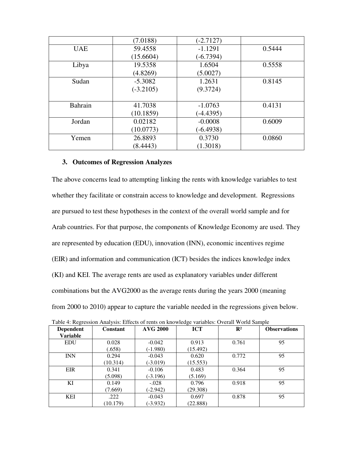|            | (7.0188)    | $(-2.7127)$ |        |
|------------|-------------|-------------|--------|
| <b>UAE</b> | 59.4558     | $-1.1291$   | 0.5444 |
|            | (15.6604)   | $(-6.7394)$ |        |
| Libya      | 19.5358     | 1.6504      | 0.5558 |
|            | (4.8269)    | (5.0027)    |        |
| Sudan      | $-5.3082$   | 1.2631      | 0.8145 |
|            | $(-3.2105)$ | (9.3724)    |        |
|            |             |             |        |
| Bahrain    | 41.7038     | $-1.0763$   | 0.4131 |
|            | (10.1859)   | $(-4.4395)$ |        |
| Jordan     | 0.02182     | $-0.0008$   | 0.6009 |
|            | (10.0773)   | $(-6.4938)$ |        |
| Yemen      | 26.8893     | 0.3730      | 0.0860 |
|            | (8.4443)    | (1.3018)    |        |

#### **3. Outcomes of Regression Analyzes**

The above concerns lead to attempting linking the rents with knowledge variables to test whether they facilitate or constrain access to knowledge and development. Regressions are pursued to test these hypotheses in the context of the overall world sample and for Arab countries. For that purpose, the components of Knowledge Economy are used. They are represented by education (EDU), innovation (INN), economic incentives regime (EIR) and information and communication (ICT) besides the indices knowledge index (KI) and KEI. The average rents are used as explanatory variables under different combinations but the AVG2000 as the average rents during the years 2000 (meaning from 2000 to 2010) appear to capture the variable needed in the regressions given below.

| <b>Dependent</b> | <b>Constant</b> | <b>AVG 2000</b> | <b>ICT</b> | $\mathbf{R}^2$ | <b>Observations</b> |
|------------------|-----------------|-----------------|------------|----------------|---------------------|
| <b>Variable</b>  |                 |                 |            |                |                     |
| <b>EDU</b>       | 0.028           | $-0.042$        | 0.913      | 0.761          | 95                  |
|                  | (.658)          | $(-1.980)$      | (15.492)   |                |                     |
| <b>INN</b>       | 0.294           | $-0.043$        | 0.620      | 0.772          | 95                  |
|                  | (10.314)        | $(-3.019)$      | (15.553)   |                |                     |
| <b>EIR</b>       | 0.341           | $-0.106$        | 0.483      | 0.364          | 95                  |
|                  | (5.098)         | $(-3.196)$      | (5.169)    |                |                     |
| KI               | 0.149           | $-.028$         | 0.796      | 0.918          | 95                  |
|                  | (7.669)         | $(-2.942)$      | (29.308)   |                |                     |
| <b>KEI</b>       | .222            | $-0.043$        | 0.697      | 0.878          | 95                  |
|                  | (10.179)        | $(-3.932)$      | (22.888)   |                |                     |

Table 4: Regression Analysis: Effects of rents on knowledge variables: Overall World Sample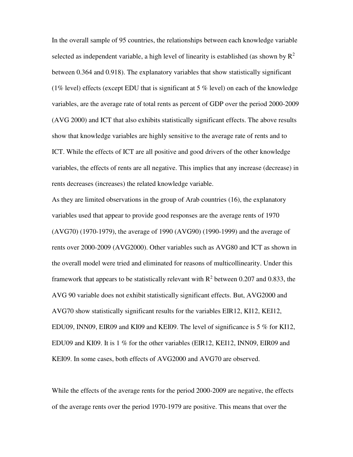In the overall sample of 95 countries, the relationships between each knowledge variable selected as independent variable, a high level of linearity is established (as shown by  $R^2$ between 0.364 and 0.918). The explanatory variables that show statistically significant (1% level) effects (except EDU that is significant at 5% level) on each of the knowledge variables, are the average rate of total rents as percent of GDP over the period 2000-2009 (AVG 2000) and ICT that also exhibits statistically significant effects. The above results show that knowledge variables are highly sensitive to the average rate of rents and to ICT. While the effects of ICT are all positive and good drivers of the other knowledge variables, the effects of rents are all negative. This implies that any increase (decrease) in rents decreases (increases) the related knowledge variable.

As they are limited observations in the group of Arab countries (16), the explanatory variables used that appear to provide good responses are the average rents of 1970 (AVG70) (1970-1979), the average of 1990 (AVG90) (1990-1999) and the average of rents over 2000-2009 (AVG2000). Other variables such as AVG80 and ICT as shown in the overall model were tried and eliminated for reasons of multicollinearity. Under this framework that appears to be statistically relevant with  $R^2$  between 0.207 and 0.833, the AVG 90 variable does not exhibit statistically significant effects. But, AVG2000 and AVG70 show statistically significant results for the variables EIR12, KI12, KEI12, EDU09, INN09, EIR09 and KI09 and KEI09. The level of significance is 5 % for KI12, EDU09 and KI09. It is 1 % for the other variables (EIR12, KEI12, INN09, EIR09 and KEI09. In some cases, both effects of AVG2000 and AVG70 are observed.

While the effects of the average rents for the period 2000-2009 are negative, the effects of the average rents over the period 1970-1979 are positive. This means that over the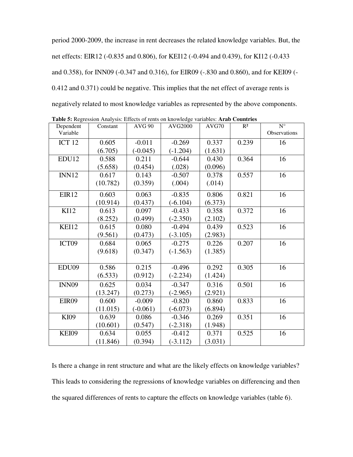period 2000-2009, the increase in rent decreases the related knowledge variables. But, the net effects: EIR12 (-0.835 and 0.806), for KEI12 (-0.494 and 0.439), for KI12 (-0.433 and 0.358), for INN09 (-0.347 and 0.316), for EIR09 (-.830 and 0.860), and for KEI09 (- 0.412 and 0.371) could be negative. This implies that the net effect of average rents is negatively related to most knowledge variables as represented by the above components.

| Dependent         | $\mathbf{m}$ of Regional Time one. Encourage on Rio wice community. These countries<br>Constant | <b>AVG 90</b> | <b>AVG2000</b> | AVG70   | $R^2$ | $N^{\circ}$  |
|-------------------|-------------------------------------------------------------------------------------------------|---------------|----------------|---------|-------|--------------|
| Variable          |                                                                                                 |               |                |         |       | Observations |
| ICT <sub>12</sub> | 0.605                                                                                           | $-0.011$      | $-0.269$       | 0.337   | 0.239 | 16           |
|                   | (6.705)                                                                                         | $(-0.045)$    | $(-1.204)$     | (1.631) |       |              |
| EDU12             | 0.588                                                                                           | 0.211         | $-0.644$       | 0.430   | 0.364 | 16           |
|                   | (5.658)                                                                                         | (0.454)       | (.028)         | (0.096) |       |              |
| INN12             | 0.617                                                                                           | 0.143         | $-0.507$       | 0.378   | 0.557 | 16           |
|                   | (10.782)                                                                                        | (0.359)       | (.004)         | (.014)  |       |              |
| EIR <sub>12</sub> | 0.603                                                                                           | 0.063         | $-0.835$       | 0.806   | 0.821 | 16           |
|                   | (10.914)                                                                                        | (0.437)       | $(-6.104)$     | (6.373) |       |              |
| KI12              | 0.613                                                                                           | 0.097         | $-0.433$       | 0.358   | 0.372 | 16           |
|                   | (8.252)                                                                                         | (0.499)       | $(-2.350)$     | (2.102) |       |              |
| KEI12             | 0.615                                                                                           | 0.080         | $-0.494$       | 0.439   | 0.523 | 16           |
|                   | (9.561)                                                                                         | (0.473)       | $(-3.105)$     | (2.983) |       |              |
| ICT09             | 0.684                                                                                           | 0.065         | $-0.275$       | 0.226   | 0.207 | 16           |
|                   | (9.618)                                                                                         | (0.347)       | $(-1.563)$     | (1.385) |       |              |
|                   |                                                                                                 |               |                |         |       |              |
| EDU09             | 0.586                                                                                           | 0.215         | $-0.496$       | 0.292   | 0.305 | 16           |
|                   | (6.533)                                                                                         | (0.912)       | $(-2.234)$     | (1.424) |       |              |
| INN <sub>09</sub> | 0.625                                                                                           | 0.034         | $-0.347$       | 0.316   | 0.501 | 16           |
|                   | (13.247)                                                                                        | (0.273)       | $(-2.965)$     | (2.921) |       |              |
| EIR09             | 0.600                                                                                           | $-0.009$      | $-0.820$       | 0.860   | 0.833 | 16           |
|                   | (11.015)                                                                                        | $(-0.061)$    | $(-6.073)$     | (6.894) |       |              |
| KI09              | 0.639                                                                                           | 0.086         | $-0.346$       | 0.269   | 0.351 | 16           |
|                   | (10.601)                                                                                        | (0.547)       | $(-2.318)$     | (1.948) |       |              |
| KEI09             | 0.634                                                                                           | 0.055         | $-0.412$       | 0.371   | 0.525 | 16           |
|                   | (11.846)                                                                                        | (0.394)       | $(-3.112)$     | (3.031) |       |              |

**Table 5:** Regression Analysis: Effects of rents on knowledge variables: **Arab Countries** 

Is there a change in rent structure and what are the likely effects on knowledge variables? This leads to considering the regressions of knowledge variables on differencing and then the squared differences of rents to capture the effects on knowledge variables (table 6).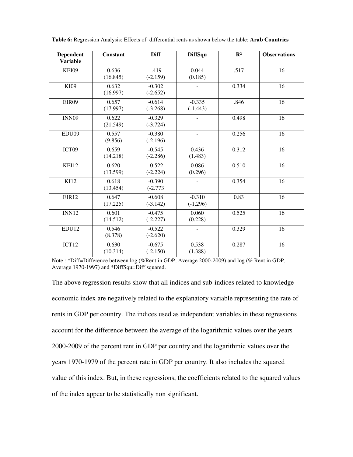| <b>Dependent</b><br><b>Variable</b> | <b>Constant</b>   | <b>Diff</b>            | <b>DiffSqu</b>           | $\mathbb{R}^2$ | <b>Observations</b> |
|-------------------------------------|-------------------|------------------------|--------------------------|----------------|---------------------|
| KEI09                               | 0.636<br>(16.845) | $-419$<br>$(-2.159)$   | 0.044<br>(0.185)         | .517           | 16                  |
| KI09                                | 0.632<br>(16.997) | $-0.302$<br>$(-2.652)$ |                          | 0.334          | 16                  |
| EIR09                               | 0.657<br>(17.997) | $-0.614$<br>$(-3.268)$ | $-0.335$<br>$(-1.443)$   | .846           | $\overline{16}$     |
| <b>INN09</b>                        | 0.622<br>(21.549) | $-0.329$<br>$(-3.724)$ |                          | 0.498          | 16                  |
| EDU09                               | 0.557<br>(9.856)  | $-0.380$<br>$(-2.196)$ | $\overline{\phantom{m}}$ | 0.256          | 16                  |
| ICT09                               | 0.659<br>(14.218) | $-0.545$<br>$(-2.286)$ | 0.436<br>(1.483)         | 0.312          | 16                  |
| KEI12                               | 0.620<br>(13.599) | $-0.522$<br>$(-2.224)$ | 0.086<br>(0.296)         | 0.510          | 16                  |
| KI12                                | 0.618<br>(13.454) | $-0.390$<br>$(-2.773)$ |                          | 0.354          | 16                  |
| EIR12                               | 0.647<br>(17.225) | $-0.608$<br>$(-3.142)$ | $-0.310$<br>$(-1.296)$   | 0.83           | 16                  |
| <b>INN12</b>                        | 0.601<br>(14.512) | $-0.475$<br>$(-2.227)$ | 0.060<br>(0.228)         | 0.525          | 16                  |
| EDU12                               | 0.546<br>(8.378)  | $-0.522$<br>$(-2.620)$ |                          | 0.329          | 16                  |
| ICT12                               | 0.630<br>(10.314) | $-0.675$<br>$(-2.150)$ | 0.538<br>(1.388)         | 0.287          | 16                  |

**Table 6:** Regression Analysis: Effects of differential rents as shown below the table: **Arab Countries** 

Note : \*Diff=Difference between log (%Rent in GDP, Average 2000-2009) and log (% Rent in GDP, Average 1970-1997) and \*DiffSqu=Diff squared.

The above regression results show that all indices and sub-indices related to knowledge economic index are negatively related to the explanatory variable representing the rate of rents in GDP per country. The indices used as independent variables in these regressions account for the difference between the average of the logarithmic values over the years 2000-2009 of the percent rent in GDP per country and the logarithmic values over the years 1970-1979 of the percent rate in GDP per country. It also includes the squared value of this index. But, in these regressions, the coefficients related to the squared values of the index appear to be statistically non significant.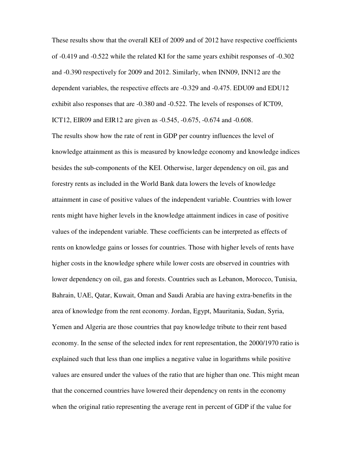These results show that the overall KEI of 2009 and of 2012 have respective coefficients of -0.419 and -0.522 while the related KI for the same years exhibit responses of -0.302 and -0.390 respectively for 2009 and 2012. Similarly, when INN09, INN12 are the dependent variables, the respective effects are -0.329 and -0.475. EDU09 and EDU12 exhibit also responses that are -0.380 and -0.522. The levels of responses of ICT09, ICT12, EIR09 and EIR12 are given as -0.545, -0.675, -0.674 and -0.608.

The results show how the rate of rent in GDP per country influences the level of knowledge attainment as this is measured by knowledge economy and knowledge indices besides the sub-components of the KEI. Otherwise, larger dependency on oil, gas and forestry rents as included in the World Bank data lowers the levels of knowledge attainment in case of positive values of the independent variable. Countries with lower rents might have higher levels in the knowledge attainment indices in case of positive values of the independent variable. These coefficients can be interpreted as effects of rents on knowledge gains or losses for countries. Those with higher levels of rents have higher costs in the knowledge sphere while lower costs are observed in countries with lower dependency on oil, gas and forests. Countries such as Lebanon, Morocco, Tunisia, Bahrain, UAE, Qatar, Kuwait, Oman and Saudi Arabia are having extra-benefits in the area of knowledge from the rent economy. Jordan, Egypt, Mauritania, Sudan, Syria, Yemen and Algeria are those countries that pay knowledge tribute to their rent based economy. In the sense of the selected index for rent representation, the 2000/1970 ratio is explained such that less than one implies a negative value in logarithms while positive values are ensured under the values of the ratio that are higher than one. This might mean that the concerned countries have lowered their dependency on rents in the economy when the original ratio representing the average rent in percent of GDP if the value for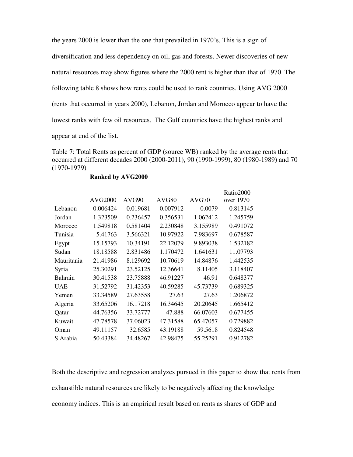the years 2000 is lower than the one that prevailed in 1970's. This is a sign of diversification and less dependency on oil, gas and forests. Newer discoveries of new natural resources may show figures where the 2000 rent is higher than that of 1970. The following table 8 shows how rents could be used to rank countries. Using AVG 2000 (rents that occurred in years 2000), Lebanon, Jordan and Morocco appear to have the lowest ranks with few oil resources. The Gulf countries have the highest ranks and appear at end of the list.

Table 7: Total Rents as percent of GDP (source WB) ranked by the average rents that occurred at different decades 2000 (2000-2011), 90 (1990-1999), 80 (1980-1989) and 70 (1970-1979)

#### **Ranked by AVG2000**

|                |                |          |          |          | Ratio2000 |
|----------------|----------------|----------|----------|----------|-----------|
|                | <b>AVG2000</b> | AVG90    | AVG80    | AVG70    | over 1970 |
| Lebanon        | 0.006424       | 0.019681 | 0.007912 | 0.0079   | 0.813145  |
| Jordan         | 1.323509       | 0.236457 | 0.356531 | 1.062412 | 1.245759  |
| Morocco        | 1.549818       | 0.581404 | 2.230848 | 3.155989 | 0.491072  |
| Tunisia        | 5.41763        | 3.566321 | 10.97922 | 7.983697 | 0.678587  |
| Egypt          | 15.15793       | 10.34191 | 22.12079 | 9.893038 | 1.532182  |
| Sudan          | 18.18588       | 2.831486 | 1.170472 | 1.641631 | 11.07793  |
| Mauritania     | 21.41986       | 8.129692 | 10.70619 | 14.84876 | 1.442535  |
| Syria          | 25.30291       | 23.52125 | 12.36641 | 8.11405  | 3.118407  |
| <b>Bahrain</b> | 30.41538       | 23.75888 | 46.91227 | 46.91    | 0.648377  |
| <b>UAE</b>     | 31.52792       | 31.42353 | 40.59285 | 45.73739 | 0.689325  |
| Yemen          | 33.34589       | 27.63558 | 27.63    | 27.63    | 1.206872  |
| Algeria        | 33.65206       | 16.17218 | 16.34645 | 20.20645 | 1.665412  |
| Qatar          | 44.76356       | 33.72777 | 47.888   | 66.07603 | 0.677455  |
| Kuwait         | 47.78578       | 37.06023 | 47.31588 | 65.47057 | 0.729882  |
| Oman           | 49.11157       | 32.6585  | 43.19188 | 59.5618  | 0.824548  |
| S.Arabia       | 50.43384       | 34.48267 | 42.98475 | 55.25291 | 0.912782  |

Both the descriptive and regression analyzes pursued in this paper to show that rents from exhaustible natural resources are likely to be negatively affecting the knowledge economy indices. This is an empirical result based on rents as shares of GDP and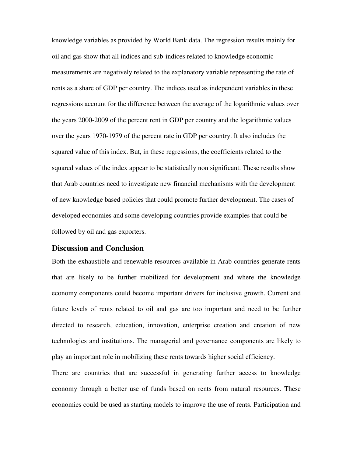knowledge variables as provided by World Bank data. The regression results mainly for oil and gas show that all indices and sub-indices related to knowledge economic measurements are negatively related to the explanatory variable representing the rate of rents as a share of GDP per country. The indices used as independent variables in these regressions account for the difference between the average of the logarithmic values over the years 2000-2009 of the percent rent in GDP per country and the logarithmic values over the years 1970-1979 of the percent rate in GDP per country. It also includes the squared value of this index. But, in these regressions, the coefficients related to the squared values of the index appear to be statistically non significant. These results show that Arab countries need to investigate new financial mechanisms with the development of new knowledge based policies that could promote further development. The cases of developed economies and some developing countries provide examples that could be followed by oil and gas exporters.

#### **Discussion and Conclusion**

Both the exhaustible and renewable resources available in Arab countries generate rents that are likely to be further mobilized for development and where the knowledge economy components could become important drivers for inclusive growth. Current and future levels of rents related to oil and gas are too important and need to be further directed to research, education, innovation, enterprise creation and creation of new technologies and institutions. The managerial and governance components are likely to play an important role in mobilizing these rents towards higher social efficiency.

There are countries that are successful in generating further access to knowledge economy through a better use of funds based on rents from natural resources. These economies could be used as starting models to improve the use of rents. Participation and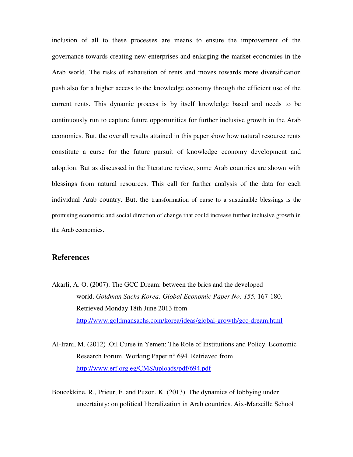inclusion of all to these processes are means to ensure the improvement of the governance towards creating new enterprises and enlarging the market economies in the Arab world. The risks of exhaustion of rents and moves towards more diversification push also for a higher access to the knowledge economy through the efficient use of the current rents. This dynamic process is by itself knowledge based and needs to be continuously run to capture future opportunities for further inclusive growth in the Arab economies. But, the overall results attained in this paper show how natural resource rents constitute a curse for the future pursuit of knowledge economy development and adoption. But as discussed in the literature review, some Arab countries are shown with blessings from natural resources. This call for further analysis of the data for each individual Arab country. But, the transformation of curse to a sustainable blessings is the promising economic and social direction of change that could increase further inclusive growth in the Arab economies.

# **References**

- Akarli, A. O. (2007). The GCC Dream: between the brics and the developed world. *Goldman Sachs Korea: Global Economic Paper No: 155,* 167-180. Retrieved Monday 18th June 2013 from <http://www.goldmansachs.com/korea/ideas/global-growth/gcc-dream.html>
- Al-Irani, M. (2012) .Oil Curse in Yemen: The Role of Institutions and Policy. Economic Research Forum. Working Paper n° 694. Retrieved from <http://www.erf.org.eg/CMS/uploads/pdf/694.pdf>
- Boucekkine, R., Prieur, F. and Puzon, K. (2013). The dynamics of lobbying under uncertainty: on political liberalization in Arab countries. Aix-Marseille School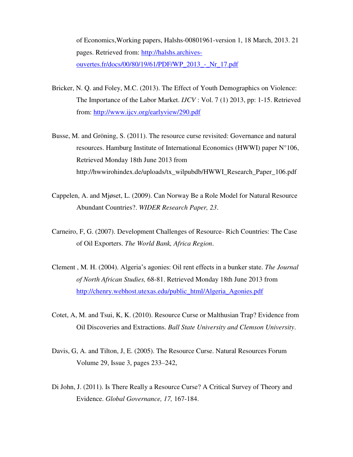of Economics,Working papers, Halshs-00801961-version 1, 18 March, 2013. 21 pages. Retrieved from: [http://halshs.archives](http://halshs.archives-ouvertes.fr/docs/00/80/19/61/PDF/WP_2013_-_Nr_17.pdf)[ouvertes.fr/docs/00/80/19/61/PDF/WP\\_2013\\_-\\_Nr\\_17.pdf](http://halshs.archives-ouvertes.fr/docs/00/80/19/61/PDF/WP_2013_-_Nr_17.pdf)

- Bricker, N. Q. and Foley, M.C. (2013). The Effect of Youth Demographics on Violence: The Importance of the Labor Market. *IJCV* : Vol. 7 (1) 2013, pp: 1-15. Retrieved from:<http://www.ijcv.org/earlyview/290.pdf>
- Busse, M. and Gröning, S. (2011). The resource curse revisited: Governance and natural resources. Hamburg Institute of International Economics (HWWI) paper N°106, Retrieved Monday 18th June 2013 from [http://hwwirohindex.de/uploads/tx\\_wilpubdb/HWWI\\_Research\\_Paper\\_106.pdf](http://hwwirohindex.de/uploads/tx_wilpubdb/HWWI_Research_Paper_106.pdf)
- Cappelen, A. and Mjøset, L. (2009). Can Norway Be a Role Model for Natural Resource Abundant Countries?. *WIDER Research Paper, 23*.
- Carneiro, F, G. (2007). Development Challenges of Resource- Rich Countries: The Case of Oil Exporters. *The World Bank, Africa Region*.
- Clement , M. H. (2004). Algeria's agonies: Oil rent effects in a bunker state. *The Journal of North African Studies,* 68-81. Retrieved Monday 18th June 2013 from [http://chenry.webhost.utexas.edu/public\\_html/Algeria\\_Agonies.pdf](http://chenry.webhost.utexas.edu/public_html/Algeria_Agonies.pdf)
- Cotet, A, M. and Tsui, K, K. (2010). Resource Curse or Malthusian Trap? Evidence from Oil Discoveries and Extractions. *Ball State University and Clemson University*.
- Davis, G, A. and Tilton, J, E. (2005). The Resource Curse. Natural Resources Forum [Volume 29, Issue 3, p](http://onlinelibrary.wiley.com/doi/10.1111/narf.2005.29.issue-3/issuetoc)ages 233–242,
- Di John, J. (2011). Is There Really a Resource Curse? A Critical Survey of Theory and Evidence. *Global Governance, 17,* 167-184.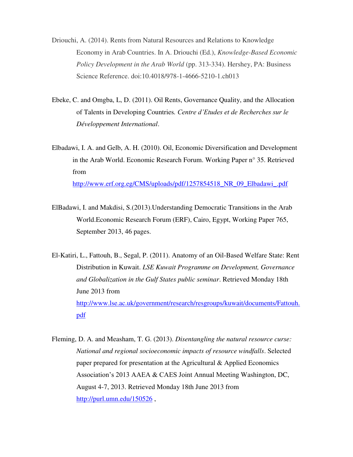- Driouchi, A. (2014). Rents from Natural Resources and Relations to Knowledge Economy in Arab Countries. In A. Driouchi (Ed.), *Knowledge-Based Economic Policy Development in the Arab World* (pp. 313-334). Hershey, PA: Business Science Reference. doi:10.4018/978-1-4666-5210-1.ch013
- Ebeke, C. and Omgba, L, D. (2011). Oil Rents, Governance Quality, and the Allocation of Talents in Developing Countries*. Centre d'Etudes et de Recherches sur le Développement International*.
- Elbadawi, I. A. and Gelb, A. H. (2010). Oil, Economic Diversification and Development in the Arab World. Economic Research Forum. Working Paper n° 35. Retrieved from [http://www.erf.org.eg/CMS/uploads/pdf/1257854518\\_NR\\_09\\_Elbadawi\\_.pdf](http://www.erf.org.eg/CMS/uploads/pdf/1257854518_NR_09_Elbadawi_.pdf)
- ElBadawi, I. and Makdisi, S.(2013).Understanding Democratic Transitions in the Arab World.Economic Research Forum (ERF), Cairo, Egypt, Working Paper 765, September 2013, 46 pages.

El-Katiri, L., Fattouh, B., Segal, P. (2011). Anatomy of an Oil-Based Welfare State: Rent Distribution in Kuwait. *LSE Kuwait Programme on Development, Governance and Globalization in the Gulf States public seminar*. Retrieved Monday 18th June 2013 from [http://www.lse.ac.uk/government/research/resgroups/kuwait/documents/Fattouh.](http://www.lse.ac.uk/government/research/resgroups/kuwait/documents/Fattouh.pdf) [pdf](http://www.lse.ac.uk/government/research/resgroups/kuwait/documents/Fattouh.pdf) 

Fleming, D. A. and Measham, T. G. (2013). *Disentangling the natural resource curse: National and regional socioeconomic impacts of resource windfalls*. Selected paper prepared for presentation at the Agricultural & Applied Economics Association's 2013 AAEA & CAES Joint Annual Meeting Washington, DC, August 4-7, 2013. Retrieved Monday 18th June 2013 from <http://purl.umn.edu/150526>,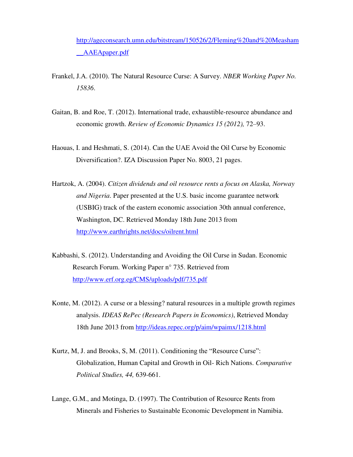[http://ageconsearch.umn.edu/bitstream/150526/2/Fleming%20and%20Measham](http://ageconsearch.umn.edu/bitstream/150526/2/Fleming%20and%20Measham__AAEApaper.pdf) [\\_\\_AAEApaper.pdf](http://ageconsearch.umn.edu/bitstream/150526/2/Fleming%20and%20Measham__AAEApaper.pdf)

- Frankel, J.A. (2010). The Natural Resource Curse: A Survey. *NBER Working Paper No. 15836*.
- Gaitan, B. and Roe, T. (2012). International trade, exhaustible-resource abundance and economic growth. *Review of Economic Dynamics 15 (2012),* 72–93.
- Haouas, I. and Heshmati, S. (2014). Can the UAE Avoid the Oil Curse by Economic Diversification?. IZA Discussion Paper No. 8003, 21 pages.
- Hartzok, A. (2004). *Citizen dividends and oil resource rents a focus on Alaska, Norway and Nigeria*. Paper presented at the U.S. basic income guarantee network (USBIG) track of the eastern economic association 30th annual conference, Washington, DC. Retrieved Monday 18th June 2013 from <http://www.earthrights.net/docs/oilrent.html>
- Kabbashi, S. (2012). Understanding and Avoiding the Oil Curse in Sudan. Economic Research Forum. Working Paper n° 735. Retrieved from <http://www.erf.org.eg/CMS/uploads/pdf/735.pdf>
- Konte, M. (2012). A curse or a blessing? natural resources in a multiple growth regimes analysis. *IDEAS RePec (Research Papers in Economics)*, Retrieved Monday 18th June 2013 from<http://ideas.repec.org/p/aim/wpaimx/1218.html>
- Kurtz, M, J. and Brooks, S, M. (2011). Conditioning the "Resource Curse": Globalization, Human Capital and Growth in Oil- Rich Nations. *Comparative Political Studies, 44,* 639-661.
- Lange, G.M., and Motinga, D. (1997). The Contribution of Resource Rents from Minerals and Fisheries to Sustainable Economic Development in Namibia.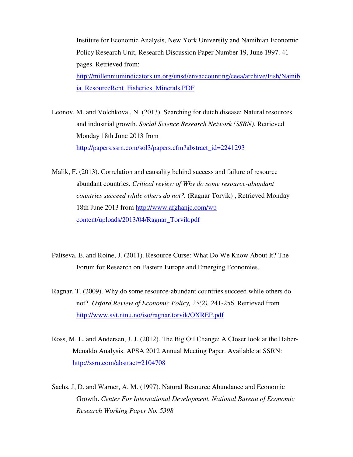Institute for Economic Analysis, New York University and Namibian Economic Policy Research Unit, Research Discussion Paper Number 19, June 1997. 41 pages. Retrieved from: [http://millenniumindicators.un.org/unsd/envaccounting/ceea/archive/Fish/Namib](http://millenniumindicators.un.org/unsd/envaccounting/ceea/archive/Fish/Namibia_ResourceRent_Fisheries_Minerals.PDF) [ia\\_ResourceRent\\_Fisheries\\_Minerals.PDF](http://millenniumindicators.un.org/unsd/envaccounting/ceea/archive/Fish/Namibia_ResourceRent_Fisheries_Minerals.PDF)

Leonov, M. and Volchkova , N. (2013). Searching for dutch disease: Natural resources and industrial growth. *Social Science Research Network (SSRN)*, Retrieved Monday 18th June 2013 from http://papers.ssrn.com/sol3/papers.cfm?abstract\_id=2241293

Malik, F. (2013). Correlation and causality behind success and failure of resource abundant countries. *Critical review of Why do some resource-abundant countries succeed while others do not?.* (Ragnar Torvik) , Retrieved Monday 18th June 2013 from [http://www.afghanjc.com/wp](http://www.afghanjc.com/wp%20content/uploads/2013/04/Ragnar_Torvik.pdf)  [content/uploads/2013/04/Ragnar\\_Torvik.pdf](http://www.afghanjc.com/wp%20content/uploads/2013/04/Ragnar_Torvik.pdf) 

- Paltseva, E. and Roine, J. (2011). Resource Curse: What Do We Know About It? The Forum for Research on Eastern Europe and Emerging Economies.
- Ragnar, T. (2009). Why do some resource-abundant countries succeed while others do not?. *Oxford Review of Economic Policy, 25(2),* 241-256. Retrieved from <http://www.svt.ntnu.no/iso/ragnar.torvik/OXREP.pdf>
- Ross, M. L. and Andersen, J. J. (2012). The Big Oil Change: A Closer look at the Haber-Menaldo Analysis. APSA 2012 Annual Meeting Paper. Available at SSRN: <http://ssrn.com/abstract=2104708>
- Sachs, J, D. and Warner, A, M. (1997). Natural Resource Abundance and Economic Growth. *Center For International Development. National Bureau of Economic Research Working Paper No. 5398*